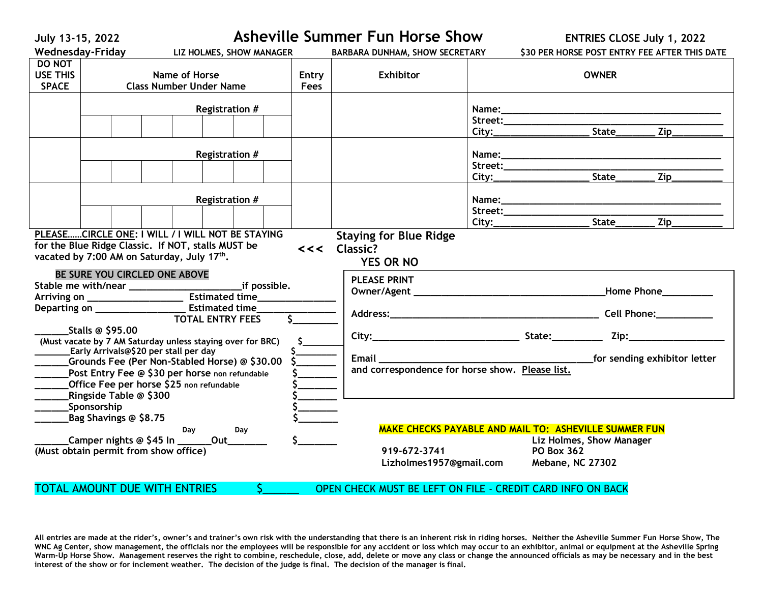| July 13-15, 2022                                                                                    |                                |                       | Asheville Summer Fun Horse Show |                               |  |     |  |                                                                                          |                                                 | <b>ENTRIES CLOSE July 1, 2022</b>             |                         |              |                                           |  |
|-----------------------------------------------------------------------------------------------------|--------------------------------|-----------------------|---------------------------------|-------------------------------|--|-----|--|------------------------------------------------------------------------------------------|-------------------------------------------------|-----------------------------------------------|-------------------------|--------------|-------------------------------------------|--|
| <b>Wednesday-Friday</b>                                                                             |                                |                       |                                 | LIZ HOLMES, SHOW MANAGER      |  |     |  |                                                                                          | BARBARA DUNHAM, SHOW SECRETARY                  | \$30 PER HORSE POST ENTRY FEE AFTER THIS DATE |                         |              |                                           |  |
| <b>DO NOT</b>                                                                                       |                                |                       |                                 |                               |  |     |  |                                                                                          |                                                 |                                               |                         |              |                                           |  |
| USE THIS                                                                                            | Name of Horse<br>Entry         |                       |                                 |                               |  |     |  |                                                                                          | <b>Exhibitor</b>                                |                                               |                         | <b>OWNER</b> |                                           |  |
| <b>SPACE</b>                                                                                        | <b>Class Number Under Name</b> |                       |                                 |                               |  |     |  | Fees                                                                                     |                                                 |                                               |                         |              |                                           |  |
|                                                                                                     |                                |                       |                                 |                               |  |     |  |                                                                                          |                                                 |                                               |                         |              |                                           |  |
|                                                                                                     | <b>Registration #</b>          |                       |                                 |                               |  |     |  |                                                                                          |                                                 |                                               |                         |              |                                           |  |
|                                                                                                     |                                |                       |                                 |                               |  |     |  |                                                                                          |                                                 |                                               |                         |              |                                           |  |
|                                                                                                     |                                |                       |                                 |                               |  |     |  |                                                                                          |                                                 |                                               |                         |              |                                           |  |
|                                                                                                     | Registration #                 |                       |                                 |                               |  |     |  |                                                                                          |                                                 |                                               |                         |              |                                           |  |
|                                                                                                     |                                |                       |                                 |                               |  |     |  |                                                                                          |                                                 |                                               |                         |              |                                           |  |
|                                                                                                     |                                |                       |                                 |                               |  |     |  |                                                                                          |                                                 |                                               |                         |              | <b>Zip</b>                                |  |
|                                                                                                     |                                |                       |                                 |                               |  |     |  |                                                                                          |                                                 |                                               |                         |              |                                           |  |
|                                                                                                     | <b>Registration #</b>          |                       |                                 |                               |  |     |  |                                                                                          |                                                 |                                               |                         |              |                                           |  |
|                                                                                                     |                                |                       |                                 |                               |  |     |  |                                                                                          |                                                 |                                               |                         |              |                                           |  |
|                                                                                                     |                                |                       |                                 |                               |  |     |  |                                                                                          |                                                 |                                               |                         |              |                                           |  |
| PLEASECIRCLE ONE: I WILL / I WILL NOT BE STAYING                                                    |                                |                       |                                 |                               |  |     |  |                                                                                          | <b>Staying for Blue Ridge</b>                   |                                               |                         |              |                                           |  |
| for the Blue Ridge Classic. If NOT, stalls MUST be                                                  |                                |                       |                                 |                               |  |     |  |                                                                                          | <<< Classic?                                    |                                               |                         |              |                                           |  |
| vacated by 7:00 AM on Saturday, July 17th.                                                          |                                |                       |                                 |                               |  |     |  |                                                                                          | <b>YES OR NO</b>                                |                                               |                         |              |                                           |  |
|                                                                                                     |                                |                       |                                 | BE SURE YOU CIRCLED ONE ABOVE |  |     |  |                                                                                          |                                                 |                                               |                         |              |                                           |  |
|                                                                                                     |                                |                       |                                 |                               |  |     |  | <b>PLEASE PRINT</b>                                                                      |                                                 |                                               |                         |              |                                           |  |
|                                                                                                     |                                |                       |                                 |                               |  |     |  |                                                                                          |                                                 |                                               |                         |              |                                           |  |
|                                                                                                     |                                |                       |                                 |                               |  |     |  |                                                                                          |                                                 |                                               |                         |              |                                           |  |
| <b>TOTAL ENTRY FEES</b>                                                                             |                                |                       |                                 |                               |  |     |  |                                                                                          |                                                 |                                               |                         |              |                                           |  |
|                                                                                                     | Stalls @ \$95.00               |                       |                                 |                               |  |     |  |                                                                                          |                                                 |                                               |                         |              |                                           |  |
| (Must vacate by 7 AM Saturday unless staying over for BRC)<br>Early Arrivals@\$20 per stall per day |                                |                       |                                 |                               |  |     |  |                                                                                          |                                                 |                                               |                         |              |                                           |  |
|                                                                                                     |                                |                       |                                 |                               |  |     |  |                                                                                          |                                                 |                                               |                         |              | _____________for sending exhibitor letter |  |
| _Grounds Fee (Per Non-Stabled Horse) @ \$30.00                                                      |                                |                       |                                 |                               |  |     |  |                                                                                          | and correspondence for horse show. Please list. |                                               |                         |              |                                           |  |
| Post Entry Fee @ \$30 per horse non refundable                                                      |                                |                       |                                 |                               |  |     |  |                                                                                          |                                                 |                                               |                         |              |                                           |  |
| _Office Fee per horse \$25 non refundable<br>Ringside Table @ \$300                                 |                                |                       |                                 |                               |  |     |  |                                                                                          |                                                 |                                               |                         |              |                                           |  |
|                                                                                                     | _Sponsorship                   |                       |                                 |                               |  |     |  |                                                                                          |                                                 |                                               |                         |              |                                           |  |
|                                                                                                     |                                | Bag Shavings @ \$8.75 |                                 |                               |  |     |  |                                                                                          |                                                 |                                               |                         |              |                                           |  |
|                                                                                                     |                                |                       |                                 | Day                           |  | Day |  |                                                                                          |                                                 |                                               |                         |              |                                           |  |
| <b>Out</b><br>Camper nights @ $$45$ In $\_\_\_\_\_\_\_\_\$                                          |                                |                       |                                 |                               |  |     |  | <b>MAKE CHECKS PAYABLE AND MAIL TO: ASHEVILLE SUMMER FUN</b><br>Liz Holmes, Show Manager |                                                 |                                               |                         |              |                                           |  |
| (Must obtain permit from show office)                                                               |                                |                       |                                 |                               |  |     |  | 919-672-3741                                                                             | <b>PO Box 362</b>                               |                                               |                         |              |                                           |  |
|                                                                                                     |                                |                       |                                 |                               |  |     |  |                                                                                          | Lizholmes1957@gmail.com                         |                                               | <b>Mebane, NC 27302</b> |              |                                           |  |
|                                                                                                     |                                |                       |                                 |                               |  |     |  |                                                                                          |                                                 |                                               |                         |              |                                           |  |

TOTAL AMOUNT DUE WITH ENTRIES  $\frac{5}{2}$ , OPEN CHECK MUST BE LEFT ON FILE - CREDIT CARD INFO ON BACK

**All entries are made at the rider's, owner's and trainer's own risk with the understanding that there is an inherent risk in riding horses. Neither the Asheville Summer Fun Horse Show, The WNC Ag Center, show management, the officials nor the employees will be responsible for any accident or loss which may occur to an exhibitor, animal or equipment at the Asheville Spring Warm-Up Horse Show. Management reserves the right to combine, reschedule, close, add, delete or move any class or change the announced officials as may be necessary and in the best interest of the show or for inclement weather. The decision of the judge is final. The decision of the manager is final.**